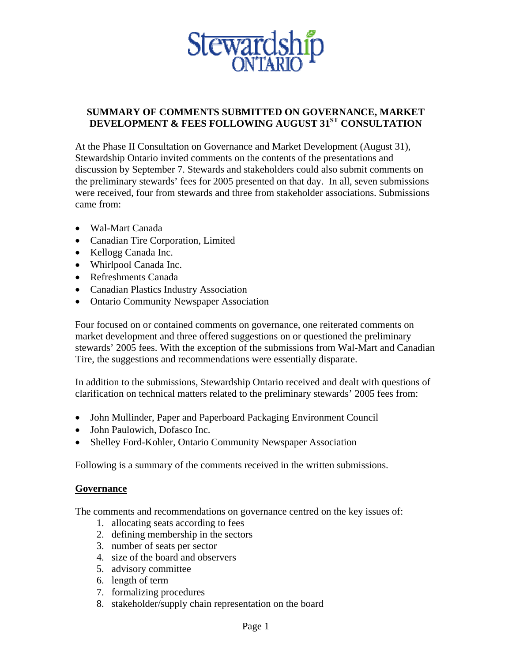

## **SUMMARY OF COMMENTS SUBMITTED ON GOVERNANCE, MARKET DEVELOPMENT & FEES FOLLOWING AUGUST 31ST CONSULTATION**

At the Phase II Consultation on Governance and Market Development (August 31), Stewardship Ontario invited comments on the contents of the presentations and discussion by September 7. Stewards and stakeholders could also submit comments on the preliminary stewards' fees for 2005 presented on that day. In all, seven submissions were received, four from stewards and three from stakeholder associations. Submissions came from:

- Wal-Mart Canada
- Canadian Tire Corporation, Limited
- Kellogg Canada Inc.
- Whirlpool Canada Inc.
- Refreshments Canada
- Canadian Plastics Industry Association
- Ontario Community Newspaper Association

Four focused on or contained comments on governance, one reiterated comments on market development and three offered suggestions on or questioned the preliminary stewards' 2005 fees. With the exception of the submissions from Wal-Mart and Canadian Tire, the suggestions and recommendations were essentially disparate.

In addition to the submissions, Stewardship Ontario received and dealt with questions of clarification on technical matters related to the preliminary stewards' 2005 fees from:

- John Mullinder, Paper and Paperboard Packaging Environment Council
- John Paulowich, Dofasco Inc.
- Shelley Ford-Kohler, Ontario Community Newspaper Association

Following is a summary of the comments received in the written submissions.

## **Governance**

The comments and recommendations on governance centred on the key issues of:

- 1. allocating seats according to fees
- 2. defining membership in the sectors
- 3. number of seats per sector
- 4. size of the board and observers
- 5. advisory committee
- 6. length of term
- 7. formalizing procedures
- 8. stakeholder/supply chain representation on the board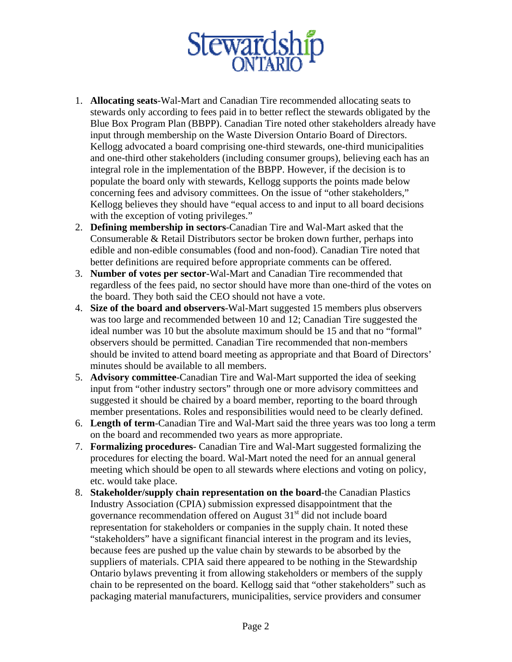

- 1. **Allocating seats**-Wal-Mart and Canadian Tire recommended allocating seats to stewards only according to fees paid in to better reflect the stewards obligated by the Blue Box Program Plan (BBPP). Canadian Tire noted other stakeholders already have input through membership on the Waste Diversion Ontario Board of Directors. Kellogg advocated a board comprising one-third stewards, one-third municipalities and one-third other stakeholders (including consumer groups), believing each has an integral role in the implementation of the BBPP. However, if the decision is to populate the board only with stewards, Kellogg supports the points made below concerning fees and advisory committees. On the issue of "other stakeholders," Kellogg believes they should have "equal access to and input to all board decisions with the exception of voting privileges."
- 2. **Defining membership in sectors**-Canadian Tire and Wal-Mart asked that the Consumerable & Retail Distributors sector be broken down further, perhaps into edible and non-edible consumables (food and non-food). Canadian Tire noted that better definitions are required before appropriate comments can be offered.
- 3. **Number of votes per sector**-Wal-Mart and Canadian Tire recommended that regardless of the fees paid, no sector should have more than one-third of the votes on the board. They both said the CEO should not have a vote.
- 4. **Size of the board and observers**-Wal-Mart suggested 15 members plus observers was too large and recommended between 10 and 12; Canadian Tire suggested the ideal number was 10 but the absolute maximum should be 15 and that no "formal" observers should be permitted. Canadian Tire recommended that non-members should be invited to attend board meeting as appropriate and that Board of Directors' minutes should be available to all members.
- 5. **Advisory committee**-Canadian Tire and Wal-Mart supported the idea of seeking input from "other industry sectors" through one or more advisory committees and suggested it should be chaired by a board member, reporting to the board through member presentations. Roles and responsibilities would need to be clearly defined.
- 6. **Length of term**-Canadian Tire and Wal-Mart said the three years was too long a term on the board and recommended two years as more appropriate.
- 7. **Formalizing procedures** Canadian Tire and Wal-Mart suggested formalizing the procedures for electing the board. Wal-Mart noted the need for an annual general meeting which should be open to all stewards where elections and voting on policy, etc. would take place.
- 8. **Stakeholder/supply chain representation on the board**-the Canadian Plastics Industry Association (CPIA) submission expressed disappointment that the governance recommendation offered on August  $31<sup>st</sup>$  did not include board representation for stakeholders or companies in the supply chain. It noted these "stakeholders" have a significant financial interest in the program and its levies, because fees are pushed up the value chain by stewards to be absorbed by the suppliers of materials. CPIA said there appeared to be nothing in the Stewardship Ontario bylaws preventing it from allowing stakeholders or members of the supply chain to be represented on the board. Kellogg said that "other stakeholders" such as packaging material manufacturers, municipalities, service providers and consumer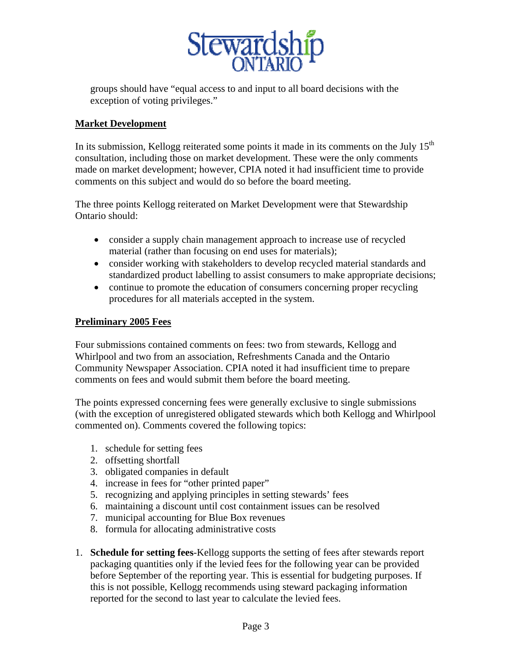

groups should have "equal access to and input to all board decisions with the exception of voting privileges."

## **Market Development**

In its submission, Kellogg reiterated some points it made in its comments on the July  $15<sup>th</sup>$ consultation, including those on market development. These were the only comments made on market development; however, CPIA noted it had insufficient time to provide comments on this subject and would do so before the board meeting.

The three points Kellogg reiterated on Market Development were that Stewardship Ontario should:

- consider a supply chain management approach to increase use of recycled material (rather than focusing on end uses for materials);
- consider working with stakeholders to develop recycled material standards and standardized product labelling to assist consumers to make appropriate decisions;
- continue to promote the education of consumers concerning proper recycling procedures for all materials accepted in the system.

## **Preliminary 2005 Fees**

Four submissions contained comments on fees: two from stewards, Kellogg and Whirlpool and two from an association, Refreshments Canada and the Ontario Community Newspaper Association. CPIA noted it had insufficient time to prepare comments on fees and would submit them before the board meeting.

The points expressed concerning fees were generally exclusive to single submissions (with the exception of unregistered obligated stewards which both Kellogg and Whirlpool commented on). Comments covered the following topics:

- 1. schedule for setting fees
- 2. offsetting shortfall
- 3. obligated companies in default
- 4. increase in fees for "other printed paper"
- 5. recognizing and applying principles in setting stewards' fees
- 6. maintaining a discount until cost containment issues can be resolved
- 7. municipal accounting for Blue Box revenues
- 8. formula for allocating administrative costs
- 1. **Schedule for setting fees**-Kellogg supports the setting of fees after stewards report packaging quantities only if the levied fees for the following year can be provided before September of the reporting year. This is essential for budgeting purposes. If this is not possible, Kellogg recommends using steward packaging information reported for the second to last year to calculate the levied fees.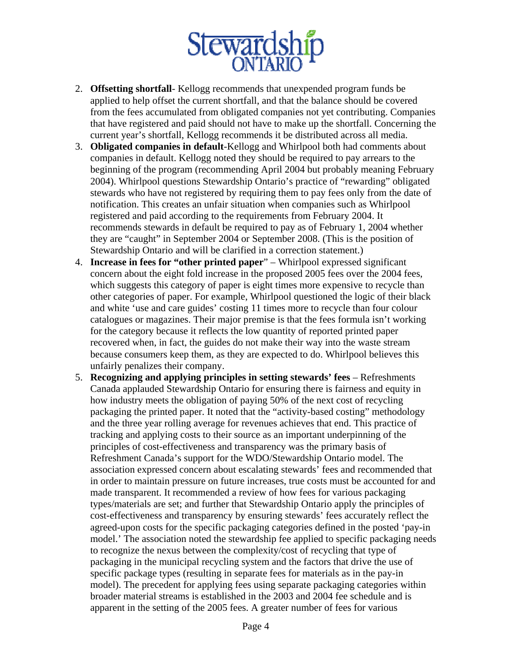

- 2. **Offsetting shortfall** Kellogg recommends that unexpended program funds be applied to help offset the current shortfall, and that the balance should be covered from the fees accumulated from obligated companies not yet contributing. Companies that have registered and paid should not have to make up the shortfall. Concerning the current year's shortfall, Kellogg recommends it be distributed across all media.
- 3. **Obligated companies in default**-Kellogg and Whirlpool both had comments about companies in default. Kellogg noted they should be required to pay arrears to the beginning of the program (recommending April 2004 but probably meaning February 2004). Whirlpool questions Stewardship Ontario's practice of "rewarding" obligated stewards who have not registered by requiring them to pay fees only from the date of notification. This creates an unfair situation when companies such as Whirlpool registered and paid according to the requirements from February 2004. It recommends stewards in default be required to pay as of February 1, 2004 whether they are "caught" in September 2004 or September 2008. (This is the position of Stewardship Ontario and will be clarified in a correction statement.)
- 4. **Increase in fees for "other printed paper**" Whirlpool expressed significant concern about the eight fold increase in the proposed 2005 fees over the 2004 fees, which suggests this category of paper is eight times more expensive to recycle than other categories of paper. For example, Whirlpool questioned the logic of their black and white 'use and care guides' costing 11 times more to recycle than four colour catalogues or magazines. Their major premise is that the fees formula isn't working for the category because it reflects the low quantity of reported printed paper recovered when, in fact, the guides do not make their way into the waste stream because consumers keep them, as they are expected to do. Whirlpool believes this unfairly penalizes their company.
- 5. **Recognizing and applying principles in setting stewards' fees** Refreshments Canada applauded Stewardship Ontario for ensuring there is fairness and equity in how industry meets the obligation of paying 50% of the next cost of recycling packaging the printed paper. It noted that the "activity-based costing" methodology and the three year rolling average for revenues achieves that end. This practice of tracking and applying costs to their source as an important underpinning of the principles of cost-effectiveness and transparency was the primary basis of Refreshment Canada's support for the WDO/Stewardship Ontario model. The association expressed concern about escalating stewards' fees and recommended that in order to maintain pressure on future increases, true costs must be accounted for and made transparent. It recommended a review of how fees for various packaging types/materials are set; and further that Stewardship Ontario apply the principles of cost-effectiveness and transparency by ensuring stewards' fees accurately reflect the agreed-upon costs for the specific packaging categories defined in the posted 'pay-in model.' The association noted the stewardship fee applied to specific packaging needs to recognize the nexus between the complexity/cost of recycling that type of packaging in the municipal recycling system and the factors that drive the use of specific package types (resulting in separate fees for materials as in the pay-in model). The precedent for applying fees using separate packaging categories within broader material streams is established in the 2003 and 2004 fee schedule and is apparent in the setting of the 2005 fees. A greater number of fees for various